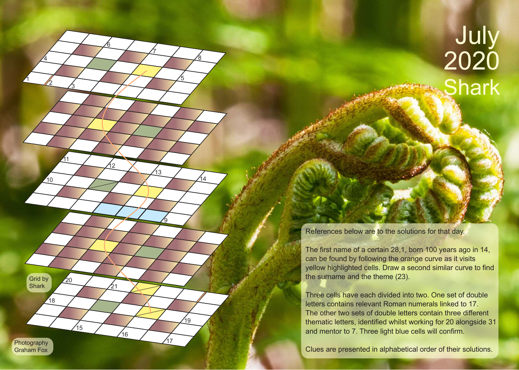## July 2020 **Shark**

References below are to the solutions for that day.

Grid by **Shark** 

**Photography** Graham Fox

18

 $20$ 

15

1

<u>2</u>

10

<u> 11</u>

 $\overline{4}$ 

<u>3</u>

6

12

 $21$ 

16

5

7

 $13$ 

<u>ց</u>

 $17$ 

19

8

14

The first name of a certain 28,1, born 100 years ago in 14, can be found by following the orange curve as it visits yellow highlighted cells. Draw a second similar curve to find the surname and the theme (23).

Three cells have each divided into two. One set of double letters contains relevant Roman numerals linked to 17. The other two sets of double letters contain three different thematic letters, identified whilst working for 20 alongside 31 and mentor to 7. Three light blue cells will confirm.

Clues are presented in alphabetical order of their solutions.